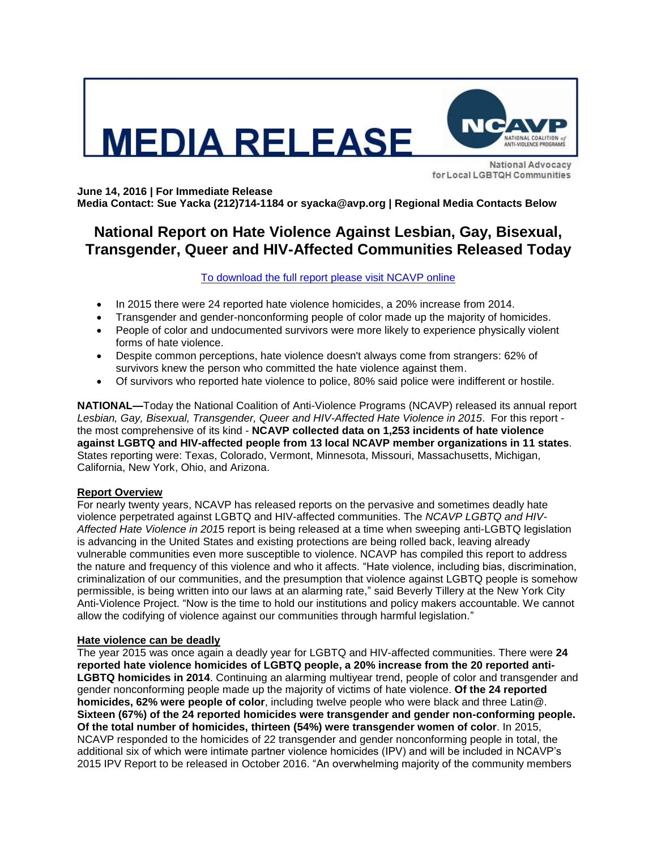



**National Advocacy** for Local LGBTQH Communities

**June 14, 2016 | For Immediate Release**

**Media Contact: Sue Yacka (212)714-1184 or syacka@avp.org | Regional Media Contacts Below**

# **National Report on Hate Violence Against Lesbian, Gay, Bisexual, Transgender, Queer and HIV-Affected Communities Released Today**

[To download the full report please visit NCAVP online](http://avp.org/about-avp/national-coalition-of-anti-violence-programs)

- In 2015 there were 24 reported hate violence homicides, a 20% increase from 2014.
- Transgender and gender-nonconforming people of color made up the majority of homicides.
- People of color and undocumented survivors were more likely to experience physically violent forms of hate violence.
- Despite common perceptions, hate violence doesn't always come from strangers: 62% of survivors knew the person who committed the hate violence against them.
- Of survivors who reported hate violence to police, 80% said police were indifferent or hostile.

**NATIONAL—**Today the National Coalition of Anti-Violence Programs (NCAVP) released its annual report *Lesbian, Gay, Bisexual, Transgender, Queer and HIV-Affected Hate Violence in 2015*. For this report the most comprehensive of its kind - **NCAVP collected data on 1,253 incidents of hate violence against LGBTQ and HIV-affected people from 13 local NCAVP member organizations in 11 states**. States reporting were: Texas, Colorado, Vermont, Minnesota, Missouri, Massachusetts, Michigan, California, New York, Ohio, and Arizona.

# **Report Overview**

For nearly twenty years, NCAVP has released reports on the pervasive and sometimes deadly hate violence perpetrated against LGBTQ and HIV-affected communities. The *NCAVP LGBTQ and HIV-Affected Hate Violence in 201*5 report is being released at a time when sweeping anti-LGBTQ legislation is advancing in the United States and existing protections are being rolled back, leaving already vulnerable communities even more susceptible to violence. NCAVP has compiled this report to address the nature and frequency of this violence and who it affects. "Hate violence, including bias, discrimination, criminalization of our communities, and the presumption that violence against LGBTQ people is somehow permissible, is being written into our laws at an alarming rate," said Beverly Tillery at the New York City Anti-Violence Project. "Now is the time to hold our institutions and policy makers accountable. We cannot allow the codifying of violence against our communities through harmful legislation."

### **Hate violence can be deadly**

The year 2015 was once again a deadly year for LGBTQ and HIV-affected communities. There were **24 reported hate violence homicides of LGBTQ people, a 20% increase from the 20 reported anti-LGBTQ homicides in 2014**. Continuing an alarming multiyear trend, people of color and transgender and gender nonconforming people made up the majority of victims of hate violence. **Of the 24 reported homicides, 62% were people of color**, including twelve people who were black and three Latin@. **Sixteen (67%) of the 24 reported homicides were transgender and gender non-conforming people. Of the total number of homicides, thirteen (54%) were transgender women of color**. In 2015, NCAVP responded to the homicides of 22 transgender and gender nonconforming people in total, the additional six of which were intimate partner violence homicides (IPV) and will be included in NCAVP's 2015 IPV Report to be released in October 2016. "An overwhelming majority of the community members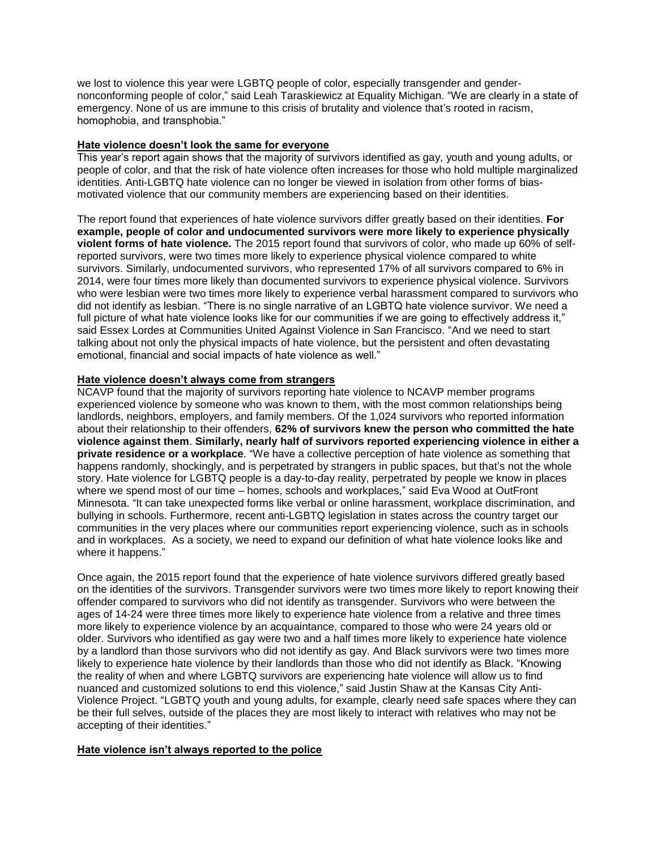we lost to violence this year were LGBTQ people of color, especially transgender and gendernonconforming people of color," said Leah Taraskiewicz at Equality Michigan. "We are clearly in a state of emergency. None of us are immune to this crisis of brutality and violence that's rooted in racism, homophobia, and transphobia."

## **Hate violence doesn't look the same for everyone**

This year's report again shows that the majority of survivors identified as gay, youth and young adults, or people of color, and that the risk of hate violence often increases for those who hold multiple marginalized identities. Anti-LGBTQ hate violence can no longer be viewed in isolation from other forms of biasmotivated violence that our community members are experiencing based on their identities.

The report found that experiences of hate violence survivors differ greatly based on their identities. **For example, people of color and undocumented survivors were more likely to experience physically violent forms of hate violence.** The 2015 report found that survivors of color, who made up 60% of selfreported survivors, were two times more likely to experience physical violence compared to white survivors. Similarly, undocumented survivors, who represented 17% of all survivors compared to 6% in 2014, were four times more likely than documented survivors to experience physical violence. Survivors who were lesbian were two times more likely to experience verbal harassment compared to survivors who did not identify as lesbian. "There is no single narrative of an LGBTQ hate violence survivor. We need a full picture of what hate violence looks like for our communities if we are going to effectively address it," said Essex Lordes at Communities United Against Violence in San Francisco. "And we need to start talking about not only the physical impacts of hate violence, but the persistent and often devastating emotional, financial and social impacts of hate violence as well."

### **Hate violence doesn't always come from strangers**

NCAVP found that the majority of survivors reporting hate violence to NCAVP member programs experienced violence by someone who was known to them, with the most common relationships being landlords, neighbors, employers, and family members. Of the 1,024 survivors who reported information about their relationship to their offenders, **62% of survivors knew the person who committed the hate violence against them**. **Similarly, nearly half of survivors reported experiencing violence in either a private residence or a workplace**. "We have a collective perception of hate violence as something that happens randomly, shockingly, and is perpetrated by strangers in public spaces, but that's not the whole story. Hate violence for LGBTQ people is a day-to-day reality, perpetrated by people we know in places where we spend most of our time – homes, schools and workplaces," said Eva Wood at OutFront Minnesota. "It can take unexpected forms like verbal or online harassment, workplace discrimination, and bullying in schools. Furthermore, recent anti-LGBTQ legislation in states across the country target our communities in the very places where our communities report experiencing violence, such as in schools and in workplaces. As a society, we need to expand our definition of what hate violence looks like and where it happens."

Once again, the 2015 report found that the experience of hate violence survivors differed greatly based on the identities of the survivors. Transgender survivors were two times more likely to report knowing their offender compared to survivors who did not identify as transgender. Survivors who were between the ages of 14-24 were three times more likely to experience hate violence from a relative and three times more likely to experience violence by an acquaintance, compared to those who were 24 years old or older. Survivors who identified as gay were two and a half times more likely to experience hate violence by a landlord than those survivors who did not identify as gay. And Black survivors were two times more likely to experience hate violence by their landlords than those who did not identify as Black. "Knowing the reality of when and where LGBTQ survivors are experiencing hate violence will allow us to find nuanced and customized solutions to end this violence," said Justin Shaw at the Kansas City Anti-Violence Project. "LGBTQ youth and young adults, for example, clearly need safe spaces where they can be their full selves, outside of the places they are most likely to interact with relatives who may not be accepting of their identities."

# **Hate violence isn't always reported to the police**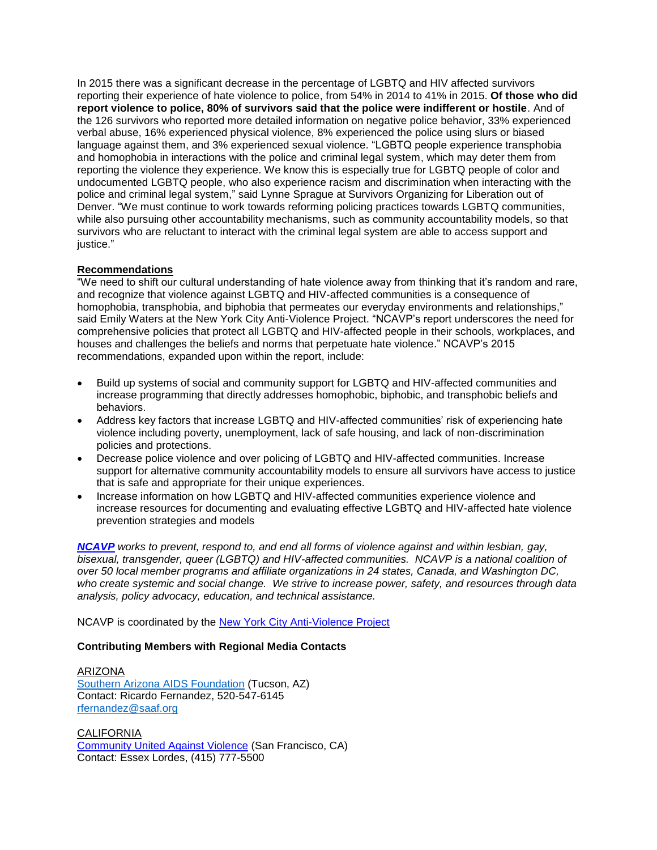In 2015 there was a significant decrease in the percentage of LGBTQ and HIV affected survivors reporting their experience of hate violence to police, from 54% in 2014 to 41% in 2015. **Of those who did report violence to police, 80% of survivors said that the police were indifferent or hostile**. And of the 126 survivors who reported more detailed information on negative police behavior, 33% experienced verbal abuse, 16% experienced physical violence, 8% experienced the police using slurs or biased language against them, and 3% experienced sexual violence. "LGBTQ people experience transphobia and homophobia in interactions with the police and criminal legal system, which may deter them from reporting the violence they experience. We know this is especially true for LGBTQ people of color and undocumented LGBTQ people, who also experience racism and discrimination when interacting with the police and criminal legal system," said Lynne Sprague at Survivors Organizing for Liberation out of Denver. "We must continue to work towards reforming policing practices towards LGBTQ communities, while also pursuing other accountability mechanisms, such as community accountability models, so that survivors who are reluctant to interact with the criminal legal system are able to access support and justice."

# **Recommendations**

"We need to shift our cultural understanding of hate violence away from thinking that it's random and rare, and recognize that violence against LGBTQ and HIV-affected communities is a consequence of homophobia, transphobia, and biphobia that permeates our everyday environments and relationships," said Emily Waters at the New York City Anti-Violence Project. "NCAVP's report underscores the need for comprehensive policies that protect all LGBTQ and HIV-affected people in their schools, workplaces, and houses and challenges the beliefs and norms that perpetuate hate violence." NCAVP's 2015 recommendations, expanded upon within the report, include:

- Build up systems of social and community support for LGBTQ and HIV-affected communities and increase programming that directly addresses homophobic, biphobic, and transphobic beliefs and behaviors.
- Address key factors that increase LGBTQ and HIV-affected communities' risk of experiencing hate violence including poverty, unemployment, lack of safe housing, and lack of non-discrimination policies and protections.
- Decrease police violence and over policing of LGBTQ and HIV-affected communities. Increase support for alternative community accountability models to ensure all survivors have access to justice that is safe and appropriate for their unique experiences.
- Increase information on how LGBTQ and HIV-affected communities experience violence and increase resources for documenting and evaluating effective LGBTQ and HIV-affected hate violence prevention strategies and models

*[NCAVP](http://www.avp.org/ncavp.htm) works to prevent, respond to, and end all forms of violence against and within lesbian, gay, bisexual, transgender, queer (LGBTQ) and HIV-affected communities. NCAVP is a national coalition of over 50 local member programs and affiliate organizations in 24 states, Canada, and Washington DC, who create systemic and social change. We strive to increase power, safety, and resources through data analysis, policy advocacy, education, and technical assistance.* 

NCAVP is coordinated by the [New York City Anti-Violence Project](http://www.avp.org/)

# **Contributing Members with Regional Media Contacts**

ARIZONA [Southern Arizona AIDS Foundation](http://saaf.org/) (Tucson, AZ) Contact: Ricardo Fernandez, 520-547-6145 [rfernandez@saaf.org](mailto:rfernandez@saaf.org)

CALIFORNIA [Community United Against Violence](http://www.cuav.org/) (San Francisco, CA) Contact: Essex Lordes, (415) 777-5500